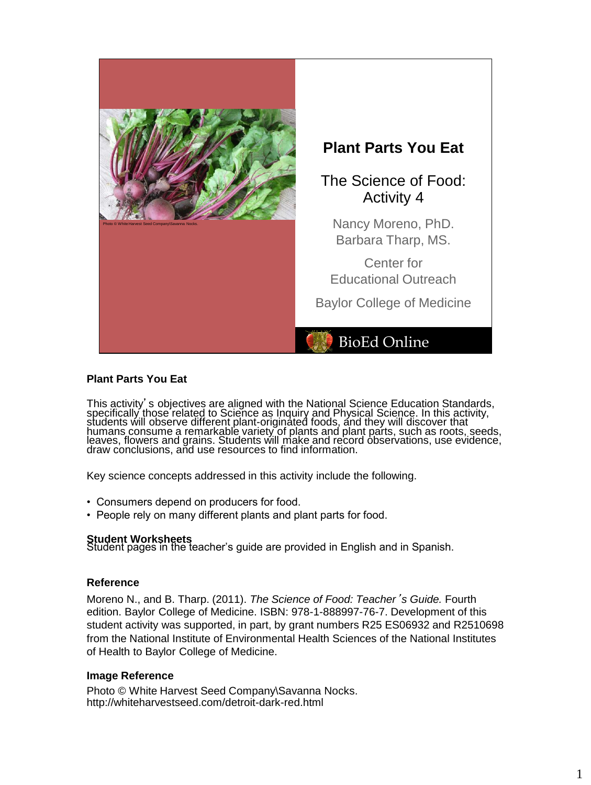

# **Plant Parts You Eat**

This activity's objectives are aligned with the National Science Education Standards, specifically those related to Science as Inquiry and Physical Science. In this activity, students will observe different plant-originated foods, and they will discover that humans consume a remarkable variety of plants and plant parts, such as roots, seeds, leaves, flowers and grains. Students will make and record observations, use evidence, draw conclusions, and use resources to find information.

Key science concepts addressed in this activity include the following.

- Consumers depend on producers for food.
- People rely on many different plants and plant parts for food.

**Student Worksheets**<br>Student pages in the teacher's guide are provided in English and in Spanish.

### **Reference**

Moreno N., and B. Tharp. (2011). *The Science of Food: Teacher*'*s Guide.* Fourth edition. Baylor College of Medicine. ISBN: 978-1-888997-76-7. Development of this student activity was supported, in part, by grant numbers R25 ES06932 and R2510698 from the National Institute of Environmental Health Sciences of the National Institutes of Health to Baylor College of Medicine.

#### **Image Reference**

Photo © White Harvest Seed Company\Savanna Nocks. http://whiteharvestseed.com/detroit-dark-red.html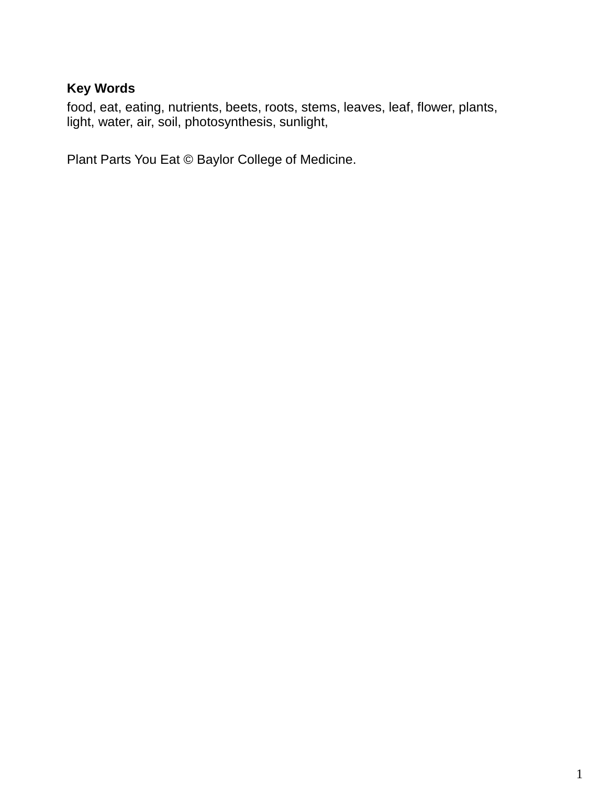# **Key Words**

food, eat, eating, nutrients, beets, roots, stems, leaves, leaf, flower, plants, light, water, air, soil, photosynthesis, sunlight,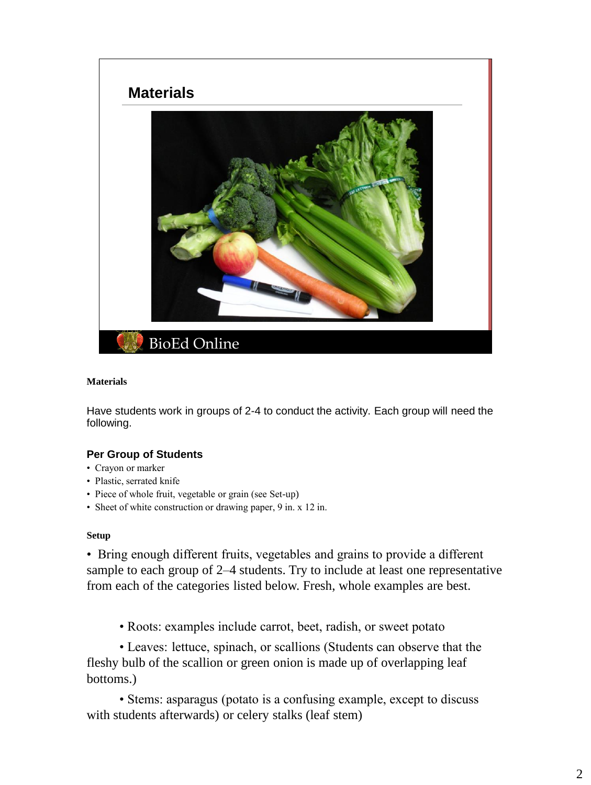

### **Materials**

Have students work in groups of 2-4 to conduct the activity. Each group will need the following.

# **Per Group of Students**

- Crayon or marker
- Plastic, serrated knife
- Piece of whole fruit, vegetable or grain (see Set-up)
- Sheet of white construction or drawing paper, 9 in. x 12 in.

### **Setup**

• Bring enough different fruits, vegetables and grains to provide a different sample to each group of 2–4 students. Try to include at least one representative from each of the categories listed below. Fresh, whole examples are best.

• Roots: examples include carrot, beet, radish, or sweet potato

• Leaves: lettuce, spinach, or scallions (Students can observe that the fleshy bulb of the scallion or green onion is made up of overlapping leaf bottoms.)

• Stems: asparagus (potato is a confusing example, except to discuss with students afterwards) or celery stalks (leaf stem)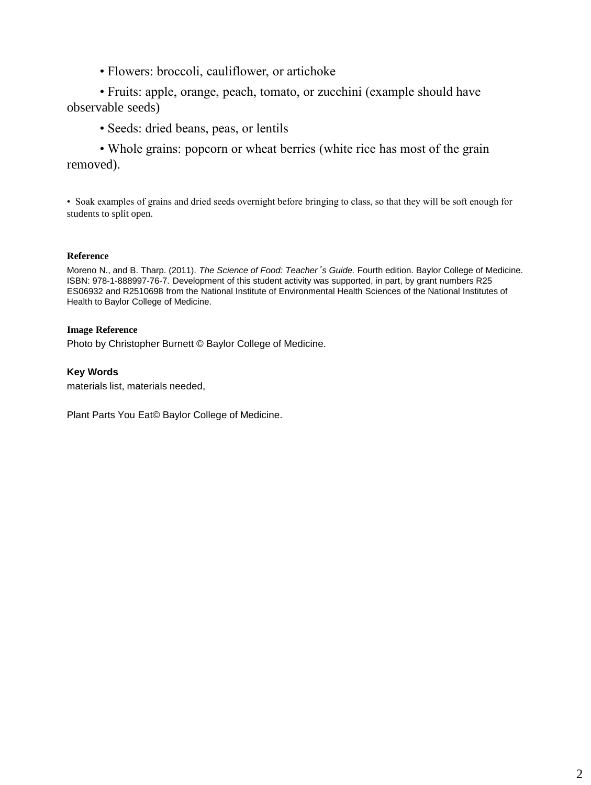• Flowers: broccoli, cauliflower, or artichoke

• Fruits: apple, orange, peach, tomato, or zucchini (example should have observable seeds)

• Seeds: dried beans, peas, or lentils

• Whole grains: popcorn or wheat berries (white rice has most of the grain removed).

• Soak examples of grains and dried seeds overnight before bringing to class, so that they will be soft enough for students to split open.

### **Reference**

Moreno N., and B. Tharp. (2011). *The Science of Food: Teacher*'*s Guide.* Fourth edition. Baylor College of Medicine. ISBN: 978-1-888997-76-7. Development of this student activity was supported, in part, by grant numbers R25 ES06932 and R2510698 from the National Institute of Environmental Health Sciences of the National Institutes of Health to Baylor College of Medicine.

### **Image Reference**

Photo by Christopher Burnett © Baylor College of Medicine.

### **Key Words**

materials list, materials needed,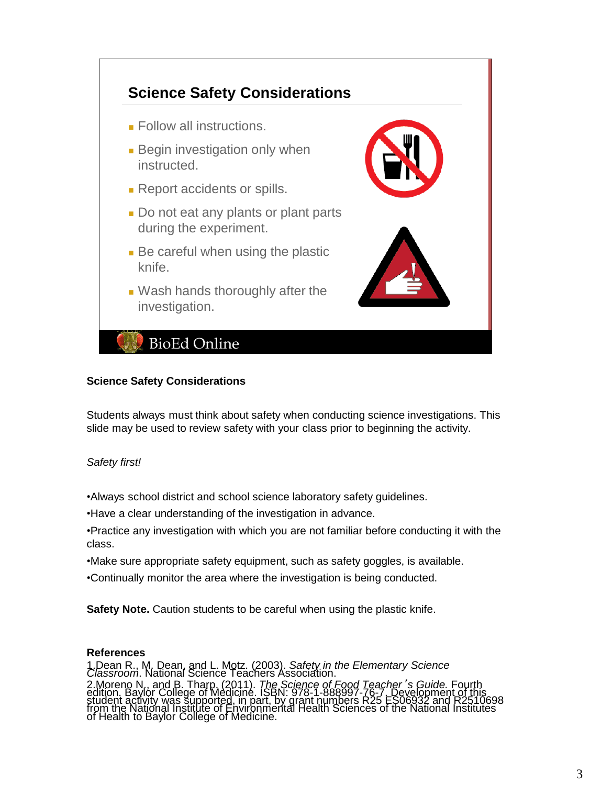

### **Science Safety Considerations**

Students always must think about safety when conducting science investigations. This slide may be used to review safety with your class prior to beginning the activity.

# *Safety first!*

•Always school district and school science laboratory safety guidelines.

•Have a clear understanding of the investigation in advance.

•Practice any investigation with which you are not familiar before conducting it with the class.

•Make sure appropriate safety equipment, such as safety goggles, is available.

•Continually monitor the area where the investigation is being conducted.

**Safety Note.** Caution students to be careful when using the plastic knife.

### **References**

1.Dean R., M. Dean, and L. Motz. (2003). *Safety in the Elementary Science Classroom*. National Science Teachers Association. Subcream N., and B. Tharp, (2011). The Science of Food Teacher's Guide. Fourth<br>edition. Baylor College of Medicine. ISBN: 978-1-888997-76-7. Development of this<br>student activity was supported, in part, by grant numbers R25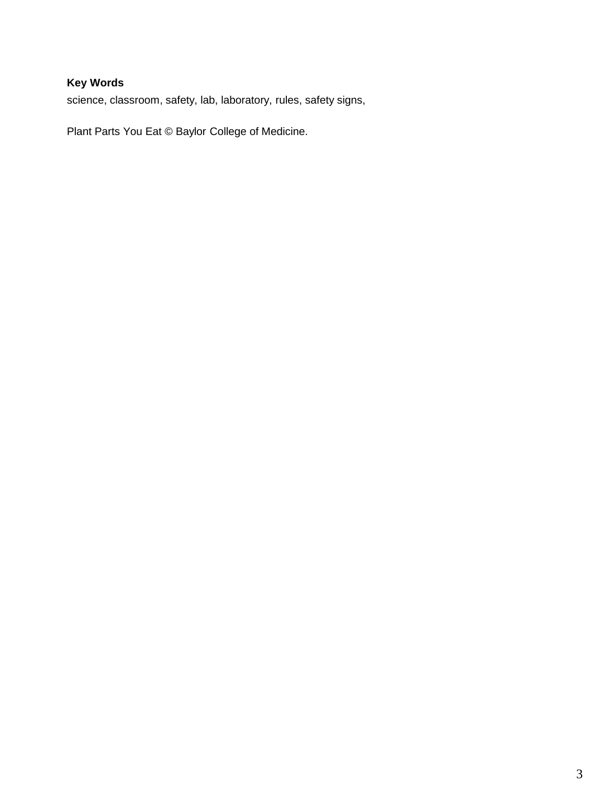# **Key Words**

science, classroom, safety, lab, laboratory, rules, safety signs,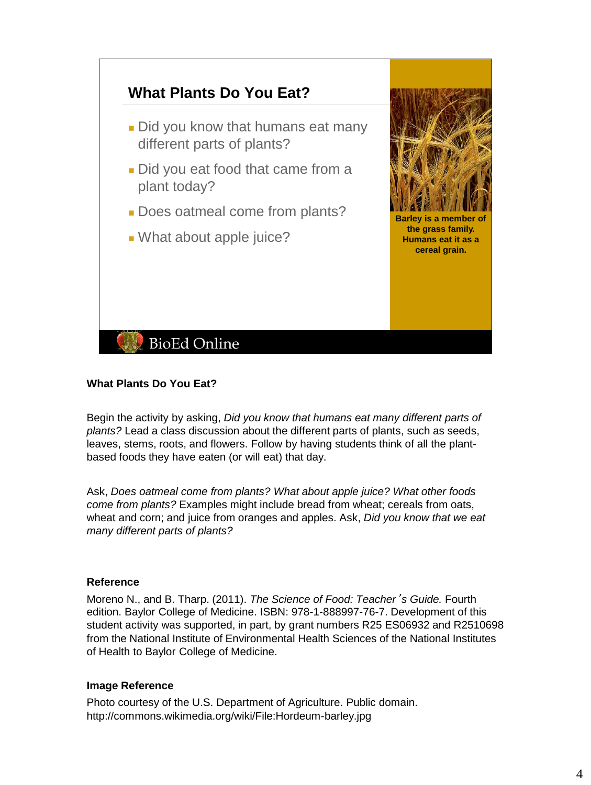

# **What Plants Do You Eat?**

Begin the activity by asking, *Did you know that humans eat many different parts of plants?* Lead a class discussion about the different parts of plants, such as seeds, leaves, stems, roots, and flowers. Follow by having students think of all the plantbased foods they have eaten (or will eat) that day.

Ask, *Does oatmeal come from plants? What about apple juice? What other foods come from plants?* Examples might include bread from wheat; cereals from oats, wheat and corn; and juice from oranges and apples. Ask, *Did you know that we eat many different parts of plants?*

### **Reference**

Moreno N., and B. Tharp. (2011). *The Science of Food: Teacher*'*s Guide.* Fourth edition. Baylor College of Medicine. ISBN: 978-1-888997-76-7. Development of this student activity was supported, in part, by grant numbers R25 ES06932 and R2510698 from the National Institute of Environmental Health Sciences of the National Institutes of Health to Baylor College of Medicine.

### **Image Reference**

Photo courtesy of the U.S. Department of Agriculture. Public domain. http://commons.wikimedia.org/wiki/File:Hordeum-barley.jpg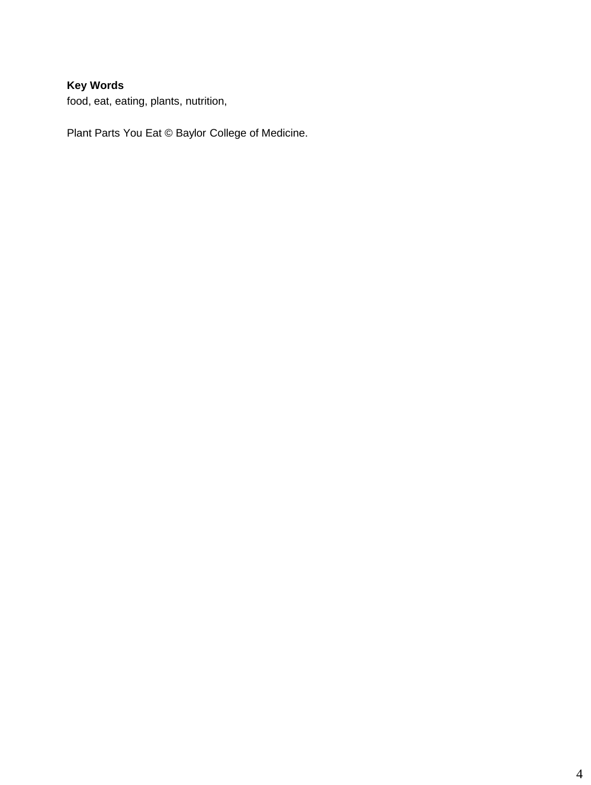# **Key Words**

food, eat, eating, plants, nutrition,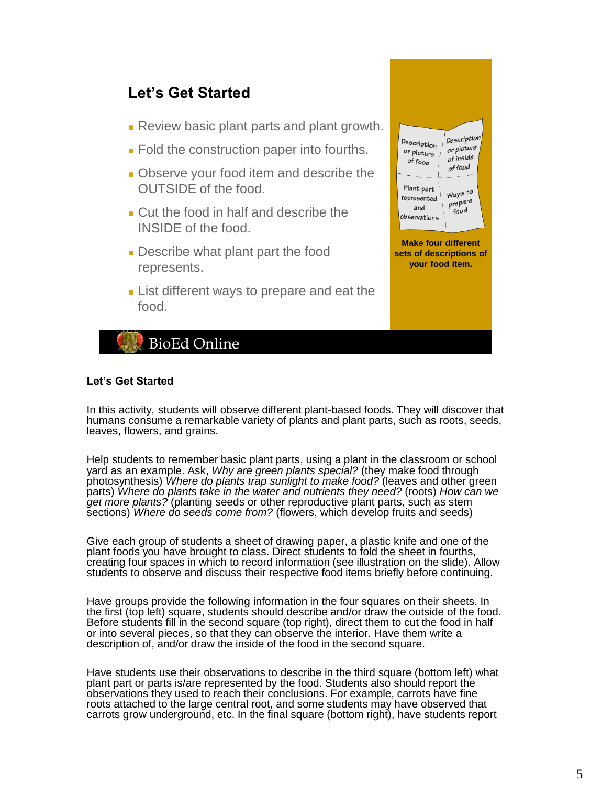

### **Let's Get Started**

In this activity, students will observe different plant-based foods. They will discover that humans consume a remarkable variety of plants and plant parts, such as roots, seeds, leaves, flowers, and grains.

Help students to remember basic plant parts, using a plant in the classroom or school yard as an example. Ask, *Why are green plants special?* (they make food through photosynthesis) *Where do plants trap sunlight to make food?* (leaves and other green parts) *Where do plants take in the water and nutrients they need?* (roots) *How can we get more plants?* (planting seeds or other reproductive plant parts, such as stem sections) *Where do seeds come from?* (flowers, which develop fruits and seeds)

Give each group of students a sheet of drawing paper, a plastic knife and one of the plant foods you have brought to class. Direct students to fold the sheet in fourths, creating four spaces in which to record information (see illustration on the slide). Allow students to observe and discuss their respective food items briefly before continuing.

Have groups provide the following information in the four squares on their sheets. In the first (top left) square, students should describe and/or draw the outside of the food. Before students fill in the second square (top right), direct them to cut the food in half or into several pieces, so that they can observe the interior. Have them write a description of, and/or draw the inside of the food in the second square.

Have students use their observations to describe in the third square (bottom left) what plant part or parts is/are represented by the food. Students also should report the observations they used to reach their conclusions. For example, carrots have fine roots attached to the large central root, and some students may have observed that carrots grow underground, etc. In the final square (bottom right), have students report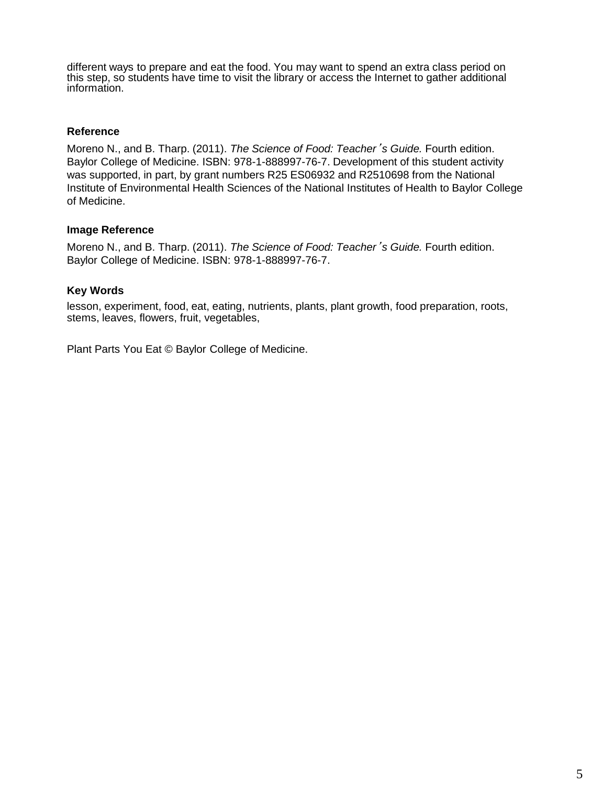different ways to prepare and eat the food. You may want to spend an extra class period on this step, so students have time to visit the library or access the Internet to gather additional information.

# **Reference**

Moreno N., and B. Tharp. (2011). *The Science of Food: Teacher*'*s Guide.* Fourth edition. Baylor College of Medicine. ISBN: 978-1-888997-76-7. Development of this student activity was supported, in part, by grant numbers R25 ES06932 and R2510698 from the National Institute of Environmental Health Sciences of the National Institutes of Health to Baylor College of Medicine.

# **Image Reference**

Moreno N., and B. Tharp. (2011). *The Science of Food: Teacher*'*s Guide.* Fourth edition. Baylor College of Medicine. ISBN: 978-1-888997-76-7.

# **Key Words**

lesson, experiment, food, eat, eating, nutrients, plants, plant growth, food preparation, roots, stems, leaves, flowers, fruit, vegetables,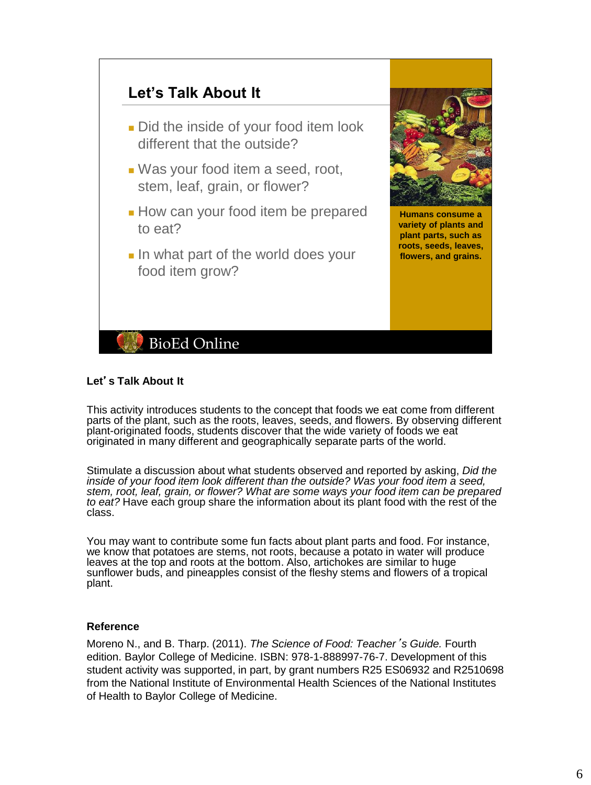

# **Let**'**s Talk About It**

This activity introduces students to the concept that foods we eat come from different parts of the plant, such as the roots, leaves, seeds, and flowers. By observing different plant-originated foods, students discover that the wide variety of foods we eat originated in many different and geographically separate parts of the world.

**Humans consume a variety of plants and plant parts, such as roots, seeds, leaves, flowers, and grains.**

Stimulate a discussion about what students observed and reported by asking, *Did the*  inside of your food item look different than the outside? Was your food item a seed, *stem, root, leaf, grain, or flower? What are some ways your food item can be prepared to eat?* Have each group share the information about its plant food with the rest of the class.

You may want to contribute some fun facts about plant parts and food. For instance, we know that potatoes are stems, not roots, because a potato in water will produce leaves at the top and roots at the bottom. Also, artichokes are similar to huge sunflower buds, and pineapples consist of the fleshy stems and flowers of a tropical plant.

### **Reference**

Moreno N., and B. Tharp. (2011). *The Science of Food: Teacher*'*s Guide.* Fourth edition. Baylor College of Medicine. ISBN: 978-1-888997-76-7. Development of this student activity was supported, in part, by grant numbers R25 ES06932 and R2510698 from the National Institute of Environmental Health Sciences of the National Institutes of Health to Baylor College of Medicine.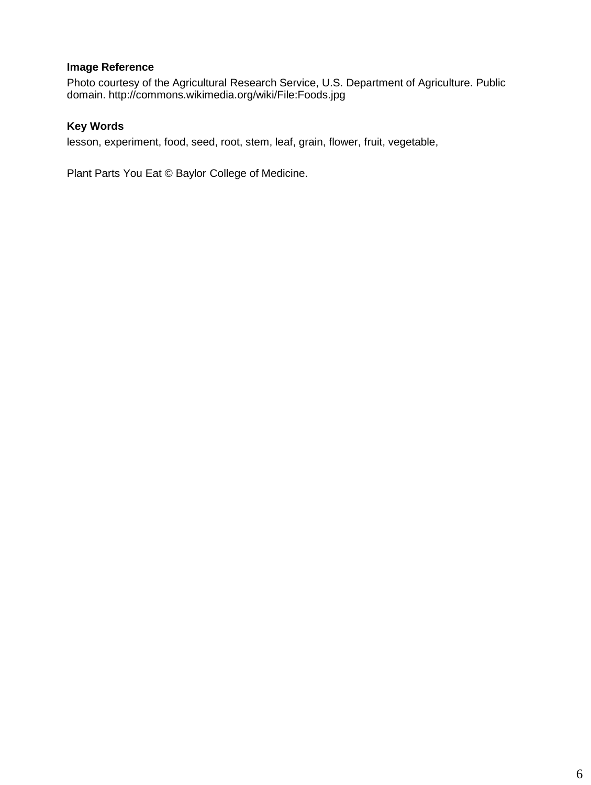# **Image Reference**

Photo courtesy of the Agricultural Research Service, U.S. Department of Agriculture. Public domain. http://commons.wikimedia.org/wiki/File:Foods.jpg

# **Key Words**

lesson, experiment, food, seed, root, stem, leaf, grain, flower, fruit, vegetable,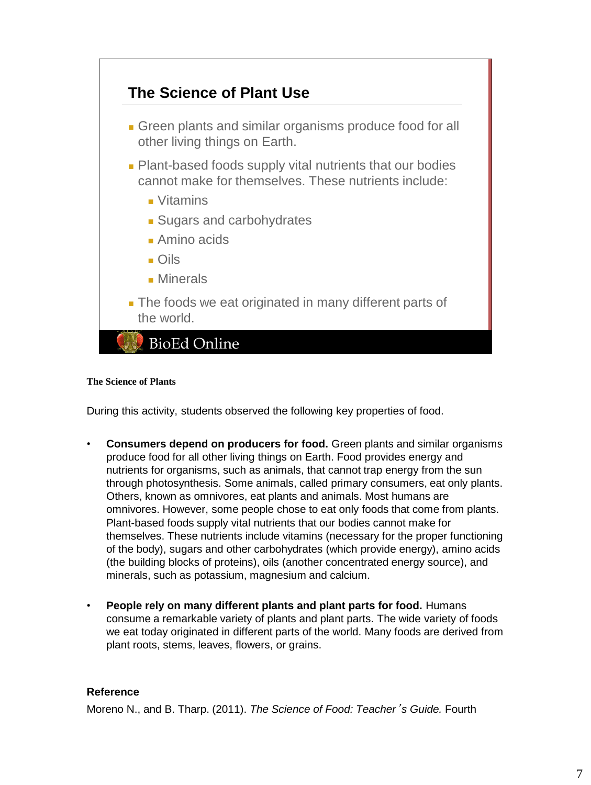

### **The Science of Plants**

During this activity, students observed the following key properties of food.

- **Consumers depend on producers for food.** Green plants and similar organisms produce food for all other living things on Earth. Food provides energy and nutrients for organisms, such as animals, that cannot trap energy from the sun through photosynthesis. Some animals, called primary consumers, eat only plants. Others, known as omnivores, eat plants and animals. Most humans are omnivores. However, some people chose to eat only foods that come from plants. Plant-based foods supply vital nutrients that our bodies cannot make for themselves. These nutrients include vitamins (necessary for the proper functioning of the body), sugars and other carbohydrates (which provide energy), amino acids (the building blocks of proteins), oils (another concentrated energy source), and minerals, such as potassium, magnesium and calcium.
- **People rely on many different plants and plant parts for food.** Humans consume a remarkable variety of plants and plant parts. The wide variety of foods we eat today originated in different parts of the world. Many foods are derived from plant roots, stems, leaves, flowers, or grains.

# **Reference**

Moreno N., and B. Tharp. (2011). *The Science of Food: Teacher*'*s Guide.* Fourth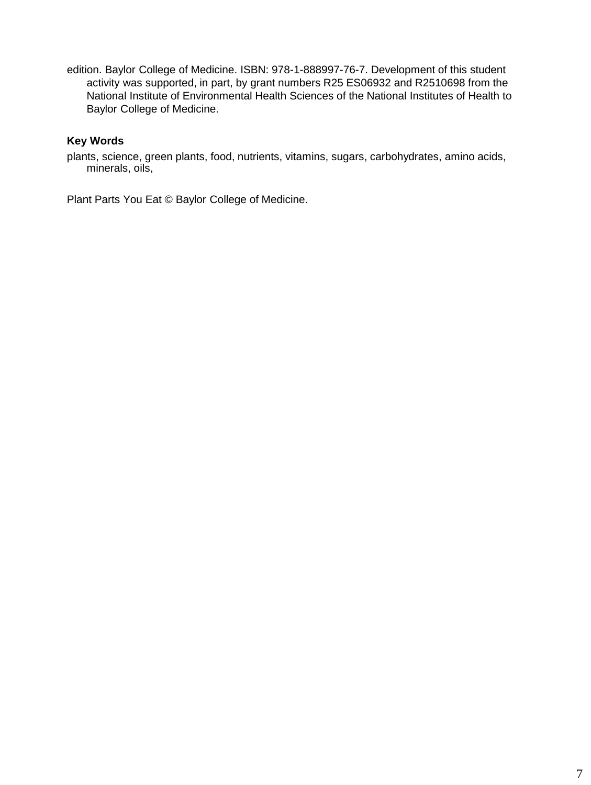edition. Baylor College of Medicine. ISBN: 978-1-888997-76-7. Development of this student activity was supported, in part, by grant numbers R25 ES06932 and R2510698 from the National Institute of Environmental Health Sciences of the National Institutes of Health to Baylor College of Medicine.

# **Key Words**

plants, science, green plants, food, nutrients, vitamins, sugars, carbohydrates, amino acids, minerals, oils,